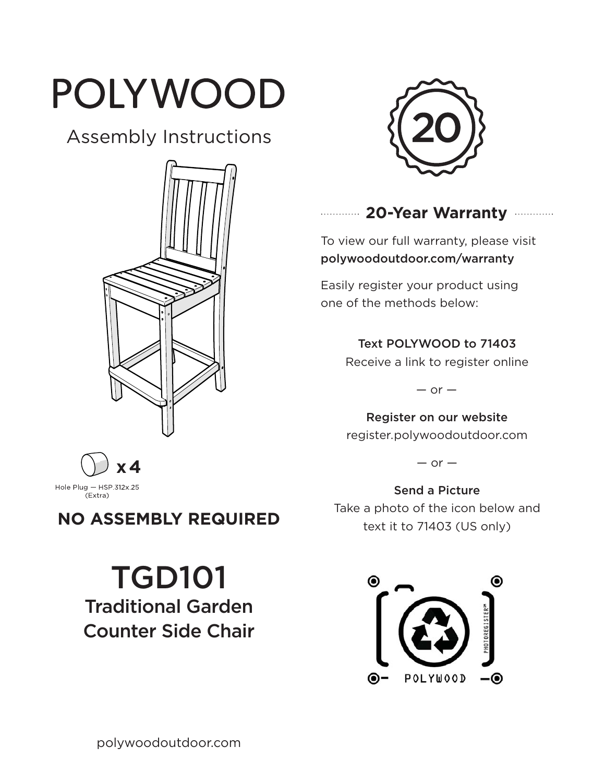# POLYWOOD

# Assembly Instructions





## **20-Year Warranty**

To view our full warranty, please visit polywoodoutdoor.com/warranty

Easily register your product using one of the methods below:

#### Text POLYWOOD to 71403

Receive a link to register online

 $-$  or  $-$ 

Register on our website register.polywoodoutdoor.com

 $-$  or  $-$ 

Send a Picture Take a photo of the icon below and text it to 71403 (US only)



**x 4**Hole Plug  $-$  HSP 312x 25<br>(Extra)

# **NO ASSEMBLY REQUIRED**

TGD101 Traditional Garden Counter Side Chair